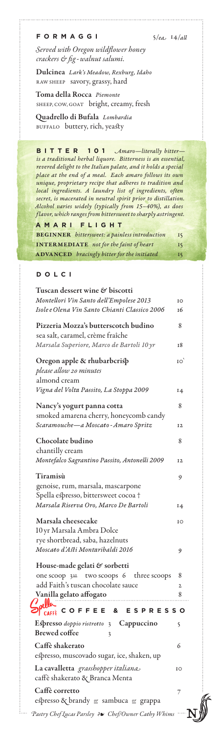**FORMAGGI** 5/*ea* 14/*all*

*Served with Oregon wildflower honey crackers & fig-walnut salumi.*

Dulcinea *Lark's Meadow, Rexburg, Idaho* RAW SHEEP savory, grassy, hard

Toma della Rocca *Piemonte* SHEEP, COW, GOAT bright, creamy, fresh

Quadrello di Bufala *Lombardia* BUFFALO buttery, rich, yeasty

**BITTER 101** *Amaro—literally bitter is a traditional herbal liquore. Bitterness is an essential, revered delight to the Italian palate, and it holds a special place at the end of a meal. Each amaro follows its own unique, proprietary recipe that adheres to tradition and local ingredients. A laundry list of ingredients, often secret, is macerated in neutral spirit prior to distillation. Alcohol varies widely (typically from 15–40%), as does flavor, which ranges from bittersweet to sharply astringent.*

**AMARI FLIGHT** beginner *bittersweet: a painless introduction* 15 INTERMEDIATE *not for the faint of heart* 15 ADVANCED *bracingly bitter for the initiated* 15

## **DOLCI**

| Tuscan dessert wine $\mathfrak{G}% _{k}(G)$ biscotti                                                                  |                |
|-----------------------------------------------------------------------------------------------------------------------|----------------|
| Montellori Vin Santo dell'Empolese 2013                                                                               | IO             |
| Isole e Olena Vin Santo Chianti Classico 2006                                                                         | 16             |
| Pizzeria Mozza's butterscotch budino<br>sea salt, caramel, crème fraîche<br>Marsala Superiore, Marco de Bartoli 10 yr | 8<br>18        |
| Oregon apple & rhubarbcrisp<br>please allow 20 minutes<br>almond cream<br>Vigna del Volta Passito, La Stoppa 2009     | IO             |
|                                                                                                                       | 14             |
| Nancy's yogurt panna cotta                                                                                            | 8              |
| smoked amarena cherry, honeycomb candy<br>Scaramouche-a Moscato - Amaro Spritz                                        | 12             |
| Chocolate budino                                                                                                      | 8              |
| chantilly cream                                                                                                       |                |
| Montefalco Sagrantino Passito, Antonelli 2009                                                                         | 12             |
| Tiramisù<br>genoise, rum, marsala, mascarpone                                                                         | 9              |
| Spella espresso, bittersweet cocoa†                                                                                   |                |
| Marsala Riserva Oro, Marco De Bartoli                                                                                 | 14             |
| Marsala cheesecake<br>10 yr Marsala Ambra Dolce<br>rye shortbread, saba, hazelnuts                                    | IO             |
| Moscato d'Asti Montaribaldi 2016                                                                                      | 9              |
| House-made gelati & sorbetti                                                                                          |                |
| one scoop 350 two scoops 6 three scoops                                                                               | 8              |
| add Faith's tuscan chocolate sauce                                                                                    | $\overline{2}$ |
| Vanilla gelato affogato                                                                                               | 8              |
| pella<br>OF CAFFE COFFEE & ESPRESSO                                                                                   |                |
| Espresso doppio ristretto 3 Cappuccino<br><b>Brewed</b> coffee<br>3                                                   | 5              |
| Caffè shakerato                                                                                                       | 6              |
| espresso, muscovado sugar, ice, shaken, up                                                                            |                |
| La cavalletta grasshopper italiana<br>caffè shakerato & Branca Menta                                                  | IO             |
| <b>Caffè corretto</b>                                                                                                 | 7              |
| espresso & brandy <i>er</i> sambuca <i>er</i> grappa                                                                  |                |
| Pastry Chef Lucas Parsley & Chef/Owner Cathy Whims                                                                    |                |